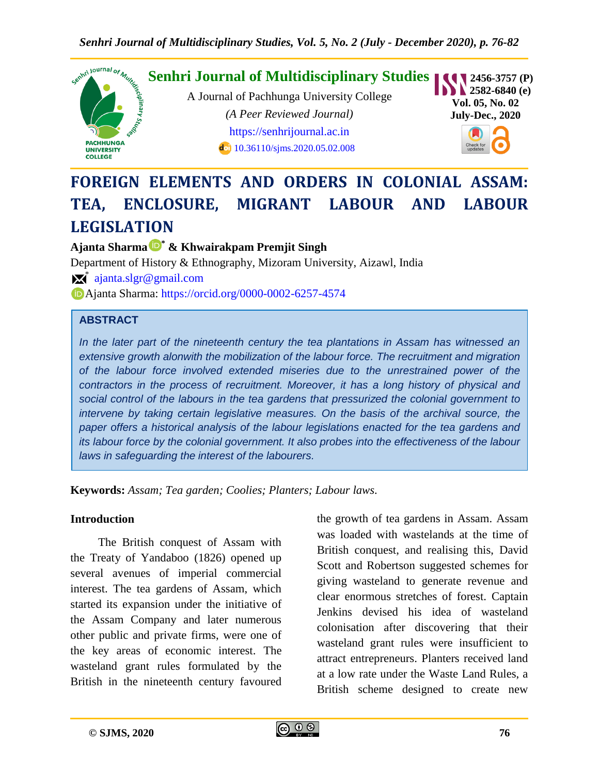

# **FOREIGN ELEMENTS AND ORDERS IN COLONIAL ASSAM: TEA, ENCLOSURE, MIGRANT LABOUR AND LABOUR LEGISLATION**

**Ajanta Sharma \* & Khwairakpam Premjit Singh**

Department of History & Ethnography, Mizoram University, Aizawl, India  $\mathbb{X}^*$  [ajanta.slgr@gmail.com](mailto:ajanta.slgr@gmail.com) Ajanta Sharma:<https://orcid.org/0000-0002-6257-4574>

## **ABSTRACT**

*In the later part of the nineteenth century the tea plantations in Assam has witnessed an extensive growth alonwith the mobilization of the labour force. The recruitment and migration of the labour force involved extended miseries due to the unrestrained power of the contractors in the process of recruitment. Moreover, it has a long history of physical and social control of the labours in the tea gardens that pressurized the colonial government to intervene by taking certain legislative measures. On the basis of the archival source, the paper offers a historical analysis of the labour legislations enacted for the tea gardens and its labour force by the colonial government. It also probes into the effectiveness of the labour laws in safeguarding the interest of the labourers.*

**Keywords:** *Assam; Tea garden; Coolies; Planters; Labour laws.*

#### **Introduction**

The British conquest of Assam with the Treaty of Yandaboo (1826) opened up several avenues of imperial commercial interest. The tea gardens of Assam, which started its expansion under the initiative of the Assam Company and later numerous other public and private firms, were one of the key areas of economic interest. The wasteland grant rules formulated by the British in the nineteenth century favoured the growth of tea gardens in Assam. Assam was loaded with wastelands at the time of British conquest, and realising this, David Scott and Robertson suggested schemes for giving wasteland to generate revenue and clear enormous stretches of forest. Captain Jenkins devised his idea of wasteland colonisation after discovering that their wasteland grant rules were insufficient to attract entrepreneurs. Planters received land at a low rate under the Waste Land Rules, a British scheme designed to create new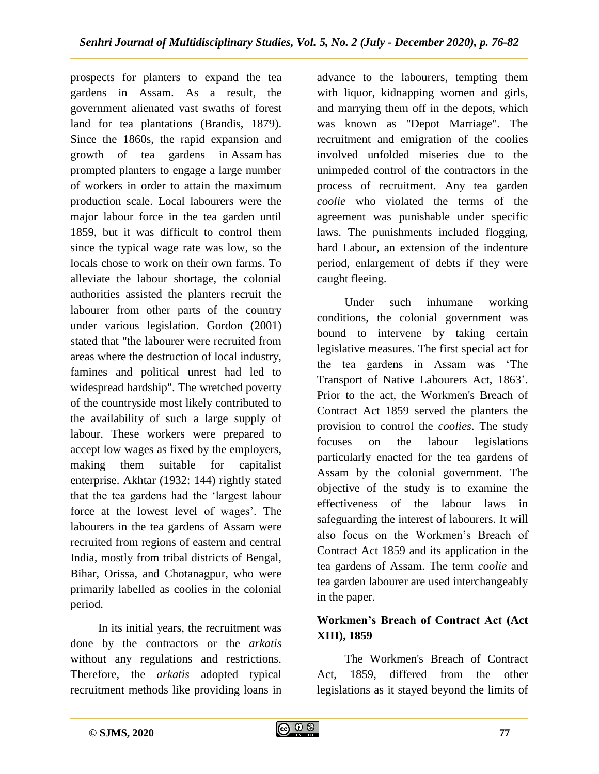prospects for planters to expand the tea gardens in Assam. As a result, the government alienated vast swaths of forest land for tea plantations (Brandis, 1879). Since the 1860s, the rapid expansion and growth of tea gardens in Assam has prompted planters to engage a large number of workers in order to attain the maximum production scale. Local labourers were the major labour force in the tea garden until 1859, but it was difficult to control them since the typical wage rate was low, so the locals chose to work on their own farms. To alleviate the labour shortage, the colonial authorities assisted the planters recruit the labourer from other parts of the country under various legislation. Gordon (2001) stated that "the labourer were recruited from areas where the destruction of local industry, famines and political unrest had led to widespread hardship". The wretched poverty of the countryside most likely contributed to the availability of such a large supply of labour. These workers were prepared to accept low wages as fixed by the employers, making them suitable for capitalist enterprise. Akhtar (1932: 144) rightly stated that the tea gardens had the "largest labour force at the lowest level of wages'. The labourers in the tea gardens of Assam were recruited from regions of eastern and central India, mostly from tribal districts of Bengal, Bihar, Orissa, and Chotanagpur, who were primarily labelled as coolies in the colonial period.

In its initial years, the recruitment was done by the contractors or the *arkatis* without any regulations and restrictions. Therefore, the *arkatis* adopted typical recruitment methods like providing loans in advance to the labourers, tempting them with liquor, kidnapping women and girls, and marrying them off in the depots, which was known as "Depot Marriage". The recruitment and emigration of the coolies involved unfolded miseries due to the unimpeded control of the contractors in the process of recruitment. Any tea garden *coolie* who violated the terms of the agreement was punishable under specific laws. The punishments included flogging, hard Labour, an extension of the indenture period, enlargement of debts if they were caught fleeing.

Under such inhumane working conditions, the colonial government was bound to intervene by taking certain legislative measures. The first special act for the tea gardens in Assam was "The Transport of Native Labourers Act, 1863". Prior to the act, the Workmen's Breach of Contract Act 1859 served the planters the provision to control the *coolies*. The study focuses on the labour legislations particularly enacted for the tea gardens of Assam by the colonial government. The objective of the study is to examine the effectiveness of the labour laws in safeguarding the interest of labourers. It will also focus on the Workmen"s Breach of Contract Act 1859 and its application in the tea gardens of Assam. The term *coolie* and tea garden labourer are used interchangeably in the paper.

## **Workmen's Breach of Contract Act (Act XIII), 1859**

The Workmen's Breach of Contract Act, 1859, differed from the other legislations as it stayed beyond the limits of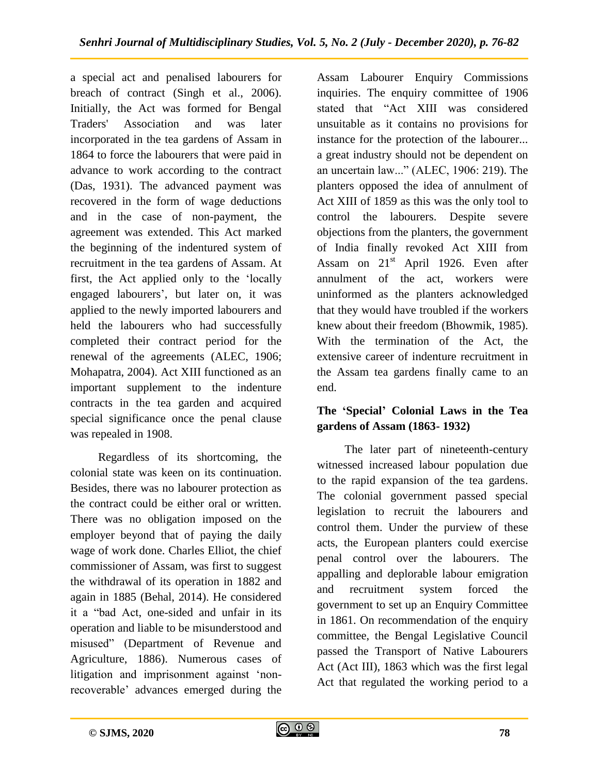a special act and penalised labourers for breach of contract (Singh et al., 2006). Initially, the Act was formed for Bengal Traders' Association and was later incorporated in the tea gardens of Assam in 1864 to force the labourers that were paid in advance to work according to the contract (Das, 1931). The advanced payment was recovered in the form of wage deductions and in the case of non-payment, the agreement was extended. This Act marked the beginning of the indentured system of recruitment in the tea gardens of Assam. At first, the Act applied only to the "locally engaged labourers", but later on, it was applied to the newly imported labourers and held the labourers who had successfully completed their contract period for the renewal of the agreements (ALEC, 1906; Mohapatra, 2004). Act XIII functioned as an important supplement to the indenture contracts in the tea garden and acquired special significance once the penal clause was repealed in 1908.

Regardless of its shortcoming, the colonial state was keen on its continuation. Besides, there was no labourer protection as the contract could be either oral or written. There was no obligation imposed on the employer beyond that of paying the daily wage of work done. Charles Elliot, the chief commissioner of Assam, was first to suggest the withdrawal of its operation in 1882 and again in 1885 (Behal, 2014). He considered it a "bad Act, one-sided and unfair in its operation and liable to be misunderstood and misused" (Department of Revenue and Agriculture, 1886). Numerous cases of litigation and imprisonment against "nonrecoverable" advances emerged during the

Assam Labourer Enquiry Commissions inquiries. The enquiry committee of 1906 stated that "Act XIII was considered unsuitable as it contains no provisions for instance for the protection of the labourer... a great industry should not be dependent on an uncertain law..." (ALEC, 1906: 219). The planters opposed the idea of annulment of Act XIII of 1859 as this was the only tool to control the labourers. Despite severe objections from the planters, the government of India finally revoked Act XIII from Assam on  $21<sup>st</sup>$  April 1926. Even after annulment of the act, workers were uninformed as the planters acknowledged that they would have troubled if the workers knew about their freedom (Bhowmik, 1985). With the termination of the Act, the extensive career of indenture recruitment in the Assam tea gardens finally came to an end.

## **The 'Special' Colonial Laws in the Tea gardens of Assam (1863- 1932)**

The later part of nineteenth-century witnessed increased labour population due to the rapid expansion of the tea gardens. The colonial government passed special legislation to recruit the labourers and control them. Under the purview of these acts, the European planters could exercise penal control over the labourers. The appalling and deplorable labour emigration and recruitment system forced the government to set up an Enquiry Committee in 1861. On recommendation of the enquiry committee, the Bengal Legislative Council passed the Transport of Native Labourers Act (Act III), 1863 which was the first legal Act that regulated the working period to a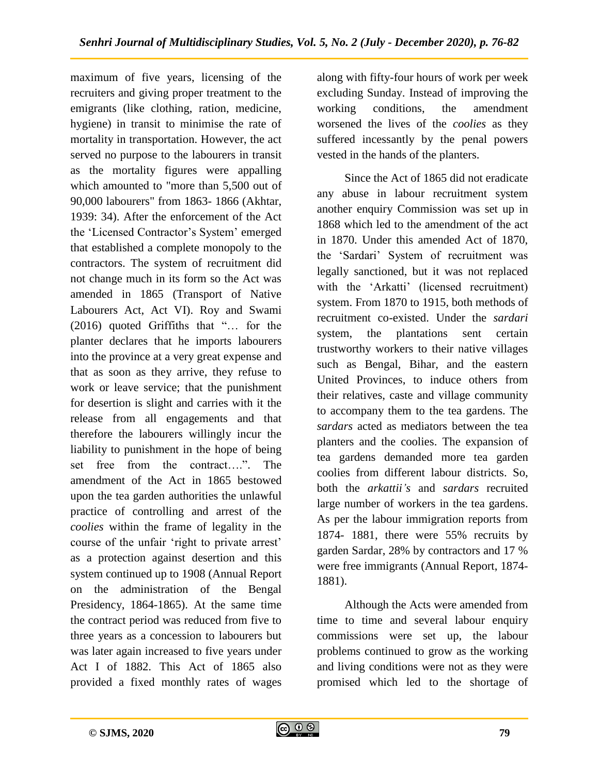maximum of five years, licensing of the recruiters and giving proper treatment to the emigrants (like clothing, ration, medicine, hygiene) in transit to minimise the rate of mortality in transportation. However, the act served no purpose to the labourers in transit as the mortality figures were appalling which amounted to "more than 5,500 out of 90,000 labourers" from 1863- 1866 (Akhtar, 1939: 34). After the enforcement of the Act the 'Licensed Contractor's System' emerged that established a complete monopoly to the contractors. The system of recruitment did not change much in its form so the Act was amended in 1865 (Transport of Native Labourers Act, Act VI). Roy and Swami (2016) quoted Griffiths that "… for the planter declares that he imports labourers into the province at a very great expense and that as soon as they arrive, they refuse to work or leave service; that the punishment for desertion is slight and carries with it the release from all engagements and that therefore the labourers willingly incur the liability to punishment in the hope of being set free from the contract….". The amendment of the Act in 1865 bestowed upon the tea garden authorities the unlawful practice of controlling and arrest of the *coolies* within the frame of legality in the course of the unfair "right to private arrest" as a protection against desertion and this system continued up to 1908 (Annual Report on the administration of the Bengal Presidency, 1864-1865). At the same time the contract period was reduced from five to three years as a concession to labourers but was later again increased to five years under Act I of 1882. This Act of 1865 also provided a fixed monthly rates of wages

along with fifty-four hours of work per week excluding Sunday. Instead of improving the working conditions, the amendment worsened the lives of the *coolies* as they suffered incessantly by the penal powers vested in the hands of the planters.

Since the Act of 1865 did not eradicate any abuse in labour recruitment system another enquiry Commission was set up in 1868 which led to the amendment of the act in 1870. Under this amended Act of 1870, the "Sardari" System of recruitment was legally sanctioned, but it was not replaced with the 'Arkatti' (licensed recruitment) system. From 1870 to 1915, both methods of recruitment co-existed. Under the *sardari* system, the plantations sent certain trustworthy workers to their native villages such as Bengal, Bihar, and the eastern United Provinces, to induce others from their relatives, caste and village community to accompany them to the tea gardens. The *sardars* acted as mediators between the tea planters and the coolies. The expansion of tea gardens demanded more tea garden coolies from different labour districts. So, both the *arkattii's* and *sardars* recruited large number of workers in the tea gardens. As per the labour immigration reports from 1874- 1881, there were 55% recruits by garden Sardar, 28% by contractors and 17 % were free immigrants (Annual Report, 1874- 1881).

Although the Acts were amended from time to time and several labour enquiry commissions were set up, the labour problems continued to grow as the working and living conditions were not as they were promised which led to the shortage of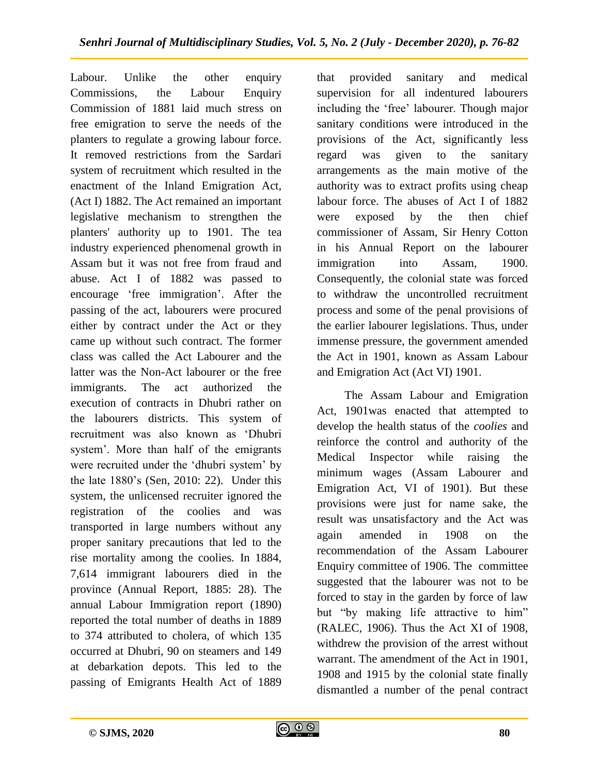Labour. Unlike the other enquiry Commissions, the Labour Enquiry Commission of 1881 laid much stress on free emigration to serve the needs of the planters to regulate a growing labour force. It removed restrictions from the Sardari system of recruitment which resulted in the enactment of the Inland Emigration Act, (Act I) 1882. The Act remained an important legislative mechanism to strengthen the planters' authority up to 1901. The tea industry experienced phenomenal growth in Assam but it was not free from fraud and abuse. Act I of 1882 was passed to encourage 'free immigration'. After the passing of the act, labourers were procured either by contract under the Act or they came up without such contract. The former class was called the Act Labourer and the latter was the Non-Act labourer or the free immigrants. The act authorized the execution of contracts in Dhubri rather on the labourers districts. This system of recruitment was also known as "Dhubri system'. More than half of the emigrants were recruited under the 'dhubri system' by the late 1880"s (Sen, 2010: 22). Under this system, the unlicensed recruiter ignored the registration of the coolies and was transported in large numbers without any proper sanitary precautions that led to the rise mortality among the coolies. In 1884, 7,614 immigrant labourers died in the province (Annual Report, 1885: 28). The annual Labour Immigration report (1890) reported the total number of deaths in 1889 to 374 attributed to cholera, of which 135 occurred at Dhubri, 90 on steamers and 149 at debarkation depots. This led to the passing of Emigrants Health Act of 1889

that provided sanitary and medical supervision for all indentured labourers including the 'free' labourer. Though major sanitary conditions were introduced in the provisions of the Act, significantly less regard was given to the sanitary arrangements as the main motive of the authority was to extract profits using cheap labour force. The abuses of Act I of 1882 were exposed by the then chief commissioner of Assam, Sir Henry Cotton in his Annual Report on the labourer immigration into Assam, 1900. Consequently, the colonial state was forced to withdraw the uncontrolled recruitment process and some of the penal provisions of the earlier labourer legislations. Thus, under immense pressure, the government amended the Act in 1901, known as Assam Labour and Emigration Act (Act VI) 1901.

The Assam Labour and Emigration Act, 1901was enacted that attempted to develop the health status of the *coolies* and reinforce the control and authority of the Medical Inspector while raising the minimum wages (Assam Labourer and Emigration Act, VI of 1901). But these provisions were just for name sake, the result was unsatisfactory and the Act was again amended in 1908 on the recommendation of the Assam Labourer Enquiry committee of 1906. The committee suggested that the labourer was not to be forced to stay in the garden by force of law but "by making life attractive to him" (RALEC, 1906). Thus the Act XI of 1908, withdrew the provision of the arrest without warrant. The amendment of the Act in 1901, 1908 and 1915 by the colonial state finally dismantled a number of the penal contract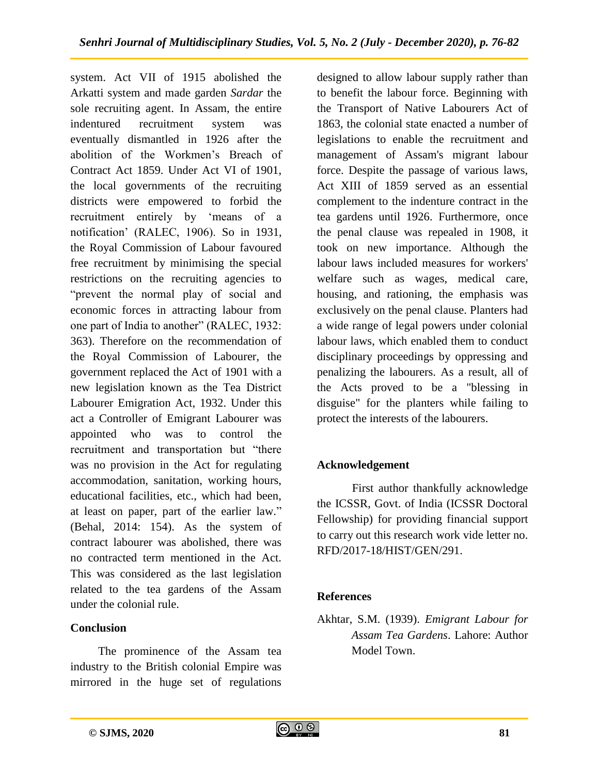system. Act VII of 1915 abolished the Arkatti system and made garden *Sardar* the sole recruiting agent. In Assam, the entire indentured recruitment system was eventually dismantled in 1926 after the abolition of the Workmen"s Breach of Contract Act 1859. Under Act VI of 1901, the local governments of the recruiting districts were empowered to forbid the recruitment entirely by "means of a notification" (RALEC, 1906). So in 1931, the Royal Commission of Labour favoured free recruitment by minimising the special restrictions on the recruiting agencies to "prevent the normal play of social and economic forces in attracting labour from one part of India to another" (RALEC, 1932: 363). Therefore on the recommendation of the Royal Commission of Labourer, the government replaced the Act of 1901 with a new legislation known as the Tea District Labourer Emigration Act, 1932. Under this act a Controller of Emigrant Labourer was appointed who was to control the recruitment and transportation but "there was no provision in the Act for regulating accommodation, sanitation, working hours, educational facilities, etc., which had been, at least on paper, part of the earlier law." (Behal, 2014: 154). As the system of contract labourer was abolished, there was no contracted term mentioned in the Act. This was considered as the last legislation related to the tea gardens of the Assam under the colonial rule.

## **Conclusion**

The prominence of the Assam tea industry to the British colonial Empire was mirrored in the huge set of regulations

designed to allow labour supply rather than to benefit the labour force. Beginning with the Transport of Native Labourers Act of 1863, the colonial state enacted a number of legislations to enable the recruitment and management of Assam's migrant labour force. Despite the passage of various laws, Act XIII of 1859 served as an essential complement to the indenture contract in the tea gardens until 1926. Furthermore, once the penal clause was repealed in 1908, it took on new importance. Although the labour laws included measures for workers' welfare such as wages, medical care, housing, and rationing, the emphasis was exclusively on the penal clause. Planters had a wide range of legal powers under colonial labour laws, which enabled them to conduct disciplinary proceedings by oppressing and penalizing the labourers. As a result, all of the Acts proved to be a "blessing in disguise" for the planters while failing to protect the interests of the labourers.

## **Acknowledgement**

First author thankfully acknowledge the ICSSR, Govt. of India (ICSSR Doctoral Fellowship) for providing financial support to carry out this research work vide letter no. RFD/2017-18/HIST/GEN/291.

## **References**

Akhtar, S.M. (1939). *Emigrant Labour for Assam Tea Gardens*. Lahore: Author Model Town.